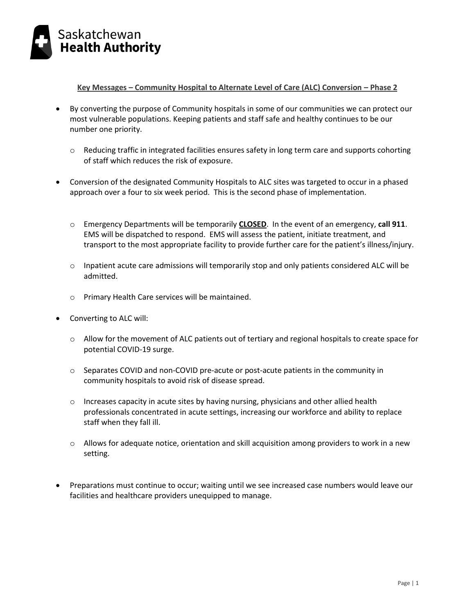

**Key Messages – Community Hospital to Alternate Level of Care (ALC) Conversion – Phase 2**

- By converting the purpose of Community hospitals in some of our communities we can protect our most vulnerable populations. Keeping patients and staff safe and healthy continues to be our number one priority.
	- o Reducing traffic in integrated facilities ensures safety in long term care and supports cohorting of staff which reduces the risk of exposure.
- Conversion of the designated Community Hospitals to ALC sites was targeted to occur in a phased approach over a four to six week period. This is the second phase of implementation.
	- o Emergency Departments will be temporarily **CLOSED**. In the event of an emergency, **call 911**. EMS will be dispatched to respond. EMS will assess the patient, initiate treatment, and transport to the most appropriate facility to provide further care for the patient's illness/injury.
	- o Inpatient acute care admissions will temporarily stop and only patients considered ALC will be admitted.
	- o Primary Health Care services will be maintained.
- Converting to ALC will:
	- $\circ$  Allow for the movement of ALC patients out of tertiary and regional hospitals to create space for potential COVID-19 surge.
	- o Separates COVID and non-COVID pre-acute or post-acute patients in the community in community hospitals to avoid risk of disease spread.
	- $\circ$  Increases capacity in acute sites by having nursing, physicians and other allied health professionals concentrated in acute settings, increasing our workforce and ability to replace staff when they fall ill.
	- $\circ$  Allows for adequate notice, orientation and skill acquisition among providers to work in a new setting.
- Preparations must continue to occur; waiting until we see increased case numbers would leave our facilities and healthcare providers unequipped to manage.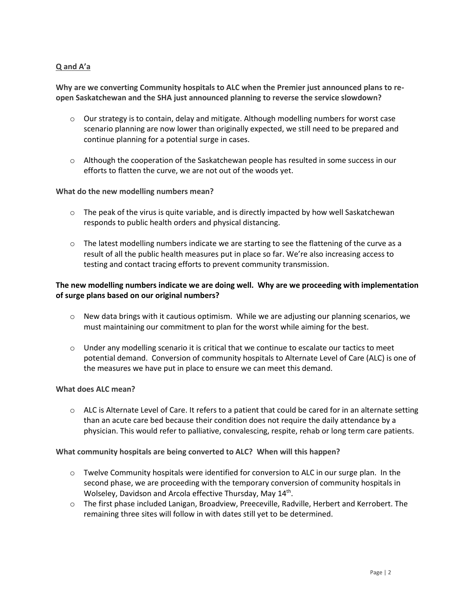# **Q and A'a**

**Why are we converting Community hospitals to ALC when the Premier just announced plans to reopen Saskatchewan and the SHA just announced planning to reverse the service slowdown?**

- o Our strategy is to contain, delay and mitigate. Although modelling numbers for worst case scenario planning are now lower than originally expected, we still need to be prepared and continue planning for a potential surge in cases.
- $\circ$  Although the cooperation of the Saskatchewan people has resulted in some success in our efforts to flatten the curve, we are not out of the woods yet.

### **What do the new modelling numbers mean?**

- $\circ$  The peak of the virus is quite variable, and is directly impacted by how well Saskatchewan responds to public health orders and physical distancing.
- $\circ$  The latest modelling numbers indicate we are starting to see the flattening of the curve as a result of all the public health measures put in place so far. We're also increasing access to testing and contact tracing efforts to prevent community transmission.

# **The new modelling numbers indicate we are doing well. Why are we proceeding with implementation of surge plans based on our original numbers?**

- $\circ$  New data brings with it cautious optimism. While we are adjusting our planning scenarios, we must maintaining our commitment to plan for the worst while aiming for the best.
- $\circ$  Under any modelling scenario it is critical that we continue to escalate our tactics to meet potential demand. Conversion of community hospitals to Alternate Level of Care (ALC) is one of the measures we have put in place to ensure we can meet this demand.

#### **What does ALC mean?**

 $\circ$  ALC is Alternate Level of Care. It refers to a patient that could be cared for in an alternate setting than an acute care bed because their condition does not require the daily attendance by a physician. This would refer to palliative, convalescing, respite, rehab or long term care patients.

## **What community hospitals are being converted to ALC? When will this happen?**

- o Twelve Community hospitals were identified for conversion to ALC in our surge plan. In the second phase, we are proceeding with the temporary conversion of community hospitals in Wolseley, Davidson and Arcola effective Thursday, May 14<sup>th</sup>.
- o The first phase included Lanigan, Broadview, Preeceville, Radville, Herbert and Kerrobert. The remaining three sites will follow in with dates still yet to be determined.